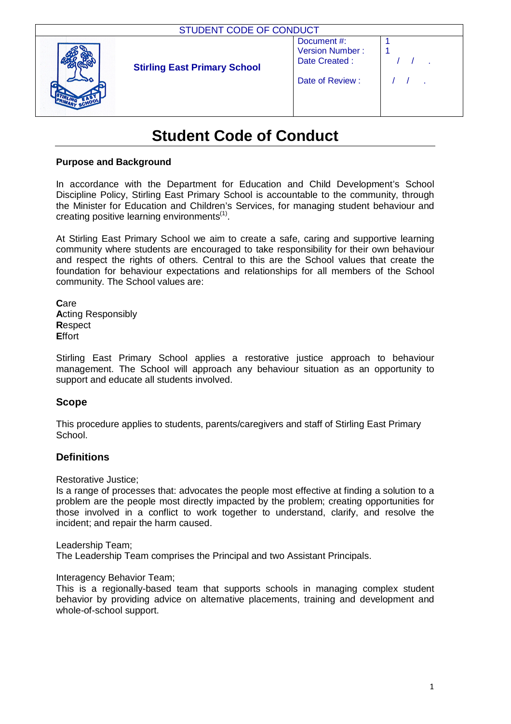| STUDENT CODE OF CONDUCT             |                                                                   |  |  |
|-------------------------------------|-------------------------------------------------------------------|--|--|
| <b>Stirling East Primary School</b> | Document#:<br>Version Number:<br>Date Created:<br>Date of Review: |  |  |

# **Student Code of Conduct**

## **Purpose and Background**

In accordance with the Department for Education and Child Development's School Discipline Policy, Stirling East Primary School is accountable to the community, through the Minister for Education and Children's Services, for managing student behaviour and creating positive learning environments $(1)$ .

At Stirling East Primary School we aim to create a safe, caring and supportive learning community where students are encouraged to take responsibility for their own behaviour and respect the rights of others. Central to this are the School values that create the foundation for behaviour expectations and relationships for all members of the School community. The School values are:

**C**are **A**cting Responsibly **R**espect **E**ffort

Stirling East Primary School applies a restorative justice approach to behaviour management. The School will approach any behaviour situation as an opportunity to support and educate all students involved.

# **Scope**

This procedure applies to students, parents/caregivers and staff of Stirling East Primary School.

# **Definitions**

Restorative Justice;

Is a range of processes that: advocates the people most effective at finding a solution to a problem are the people most directly impacted by the problem; creating opportunities for those involved in a conflict to work together to understand, clarify, and resolve the incident; and repair the harm caused.

Leadership Team;

The Leadership Team comprises the Principal and two Assistant Principals.

Interagency Behavior Team;

This is a regionally-based team that supports schools in managing complex student behavior by providing advice on alternative placements, training and development and whole-of-school support.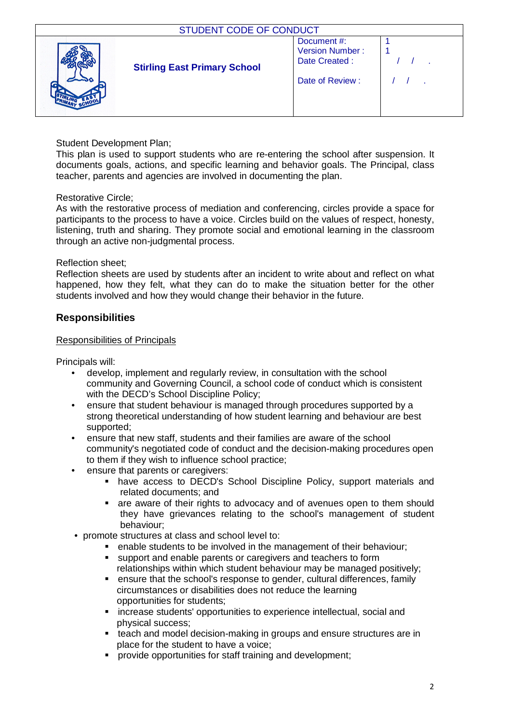| <b>STUDENT CODE OF CONDUCT</b> |                                     |                                                                          |  |
|--------------------------------|-------------------------------------|--------------------------------------------------------------------------|--|
|                                | <b>Stirling East Primary School</b> | Document#:<br><b>Version Number:</b><br>Date Created:<br>Date of Review: |  |

## Student Development Plan;

This plan is used to support students who are re-entering the school after suspension. It documents goals, actions, and specific learning and behavior goals. The Principal, class teacher, parents and agencies are involved in documenting the plan.

#### Restorative Circle;

As with the restorative process of mediation and conferencing, circles provide a space for participants to the process to have a voice. Circles build on the values of respect, honesty, listening, truth and sharing. They promote social and emotional learning in the classroom through an active non-judgmental process.

## Reflection sheet;

Reflection sheets are used by students after an incident to write about and reflect on what happened, how they felt, what they can do to make the situation better for the other students involved and how they would change their behavior in the future.

# **Responsibilities**

#### Responsibilities of Principals

Principals will:

- develop, implement and regularly review, in consultation with the school community and Governing Council, a school code of conduct which is consistent with the DECD's School Discipline Policy;
- ensure that student behaviour is managed through procedures supported by a strong theoretical understanding of how student learning and behaviour are best supported;
- ensure that new staff, students and their families are aware of the school community's negotiated code of conduct and the decision-making procedures open to them if they wish to influence school practice;
- ensure that parents or caregivers:
	- have access to DECD's School Discipline Policy, support materials and related documents; and
	- are aware of their rights to advocacy and of avenues open to them should they have grievances relating to the school's management of student behaviour;
- promote structures at class and school level to:
	- enable students to be involved in the management of their behaviour;
	- support and enable parents or caregivers and teachers to form relationships within which student behaviour may be managed positively;
	- ensure that the school's response to gender, cultural differences, family circumstances or disabilities does not reduce the learning opportunities for students;
	- increase students' opportunities to experience intellectual, social and physical success;
	- **teach and model decision-making in groups and ensure structures are in** place for the student to have a voice;
	- provide opportunities for staff training and development;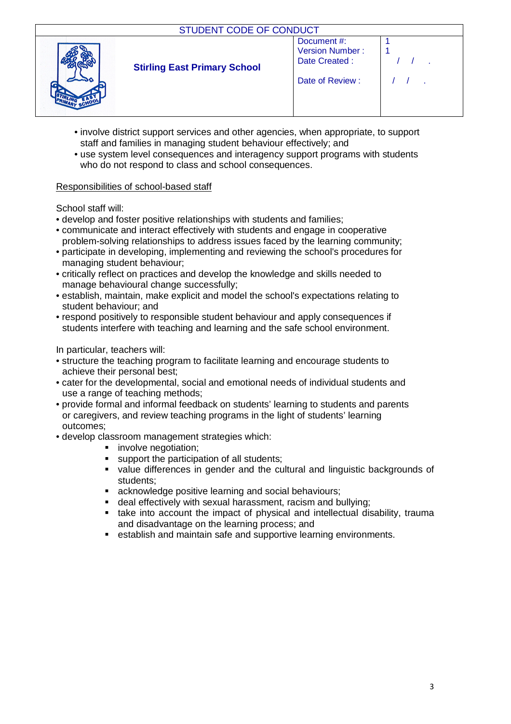| STUDENT CODE OF CONDUCT             |                                                                   |  |
|-------------------------------------|-------------------------------------------------------------------|--|
| <b>Stirling East Primary School</b> | Document#:<br>Version Number:<br>Date Created:<br>Date of Review: |  |

- involve district support services and other agencies, when appropriate, to support staff and families in managing student behaviour effectively; and
- use system level consequences and interagency support programs with students who do not respond to class and school consequences.

## Responsibilities of school-based staff

School staff will:

- develop and foster positive relationships with students and families;
- communicate and interact effectively with students and engage in cooperative problem-solving relationships to address issues faced by the learning community;
- participate in developing, implementing and reviewing the school's procedures for managing student behaviour;
- critically reflect on practices and develop the knowledge and skills needed to manage behavioural change successfully;
- establish, maintain, make explicit and model the school's expectations relating to student behaviour; and
- respond positively to responsible student behaviour and apply consequences if students interfere with teaching and learning and the safe school environment.

In particular, teachers will:

- structure the teaching program to facilitate learning and encourage students to achieve their personal best;
- cater for the developmental, social and emotional needs of individual students and use a range of teaching methods;
- provide formal and informal feedback on students' learning to students and parents or caregivers, and review teaching programs in the light of students' learning outcomes;
- develop classroom management strategies which:
	- **involve negotiation;**
	- support the participation of all students;
	- value differences in gender and the cultural and linguistic backgrounds of students;
	- acknowledge positive learning and social behaviours;
	- deal effectively with sexual harassment, racism and bullying;
	- take into account the impact of physical and intellectual disability, trauma and disadvantage on the learning process; and
	- establish and maintain safe and supportive learning environments.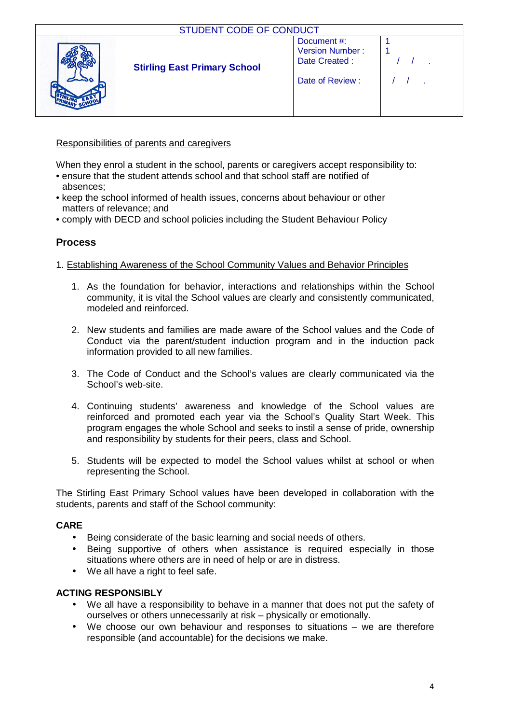| STUDENT CODE OF CONDUCT             |                                                       |  |
|-------------------------------------|-------------------------------------------------------|--|
| <b>Stirling East Primary School</b> | Document#:<br><b>Version Number:</b><br>Date Created: |  |
|                                     | Date of Review:                                       |  |

## Responsibilities of parents and caregivers

When they enrol a student in the school, parents or caregivers accept responsibility to:

- ensure that the student attends school and that school staff are notified of absences;
- keep the school informed of health issues, concerns about behaviour or other matters of relevance; and
- comply with DECD and school policies including the Student Behaviour Policy

# **Process**

#### 1. Establishing Awareness of the School Community Values and Behavior Principles

- 1. As the foundation for behavior, interactions and relationships within the School community, it is vital the School values are clearly and consistently communicated, modeled and reinforced.
- 2. New students and families are made aware of the School values and the Code of Conduct via the parent/student induction program and in the induction pack information provided to all new families.
- 3. The Code of Conduct and the School's values are clearly communicated via the School's web-site.
- 4. Continuing students' awareness and knowledge of the School values are reinforced and promoted each year via the School's Quality Start Week. This program engages the whole School and seeks to instil a sense of pride, ownership and responsibility by students for their peers, class and School.
- 5. Students will be expected to model the School values whilst at school or when representing the School.

The Stirling East Primary School values have been developed in collaboration with the students, parents and staff of the School community:

#### **CARE**

- Being considerate of the basic learning and social needs of others.
- Being supportive of others when assistance is required especially in those situations where others are in need of help or are in distress.
- We all have a right to feel safe.

#### **ACTING RESPONSIBLY**

- We all have a responsibility to behave in a manner that does not put the safety of ourselves or others unnecessarily at risk – physically or emotionally.
- We choose our own behaviour and responses to situations we are therefore responsible (and accountable) for the decisions we make.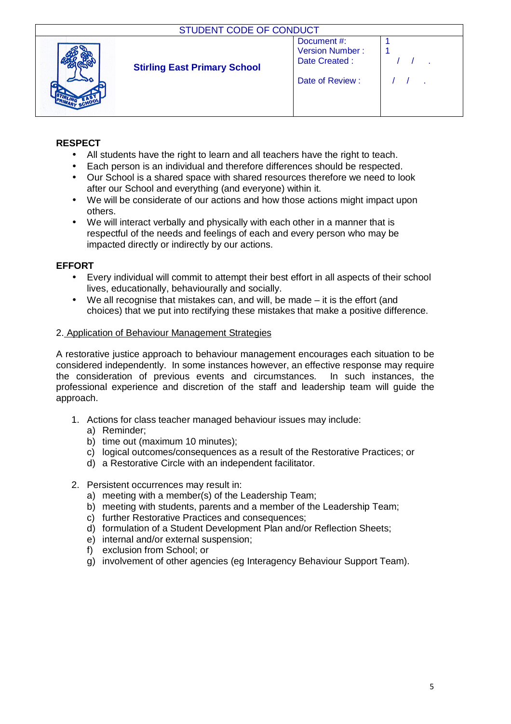| <b>STUDENT CODE OF CONDUCT</b>      |                                                                   |  |
|-------------------------------------|-------------------------------------------------------------------|--|
| <b>Stirling East Primary School</b> | Document#:<br>Version Number:<br>Date Created:<br>Date of Review: |  |

# **RESPECT**

- All students have the right to learn and all teachers have the right to teach.
- Each person is an individual and therefore differences should be respected.
- Our School is a shared space with shared resources therefore we need to look after our School and everything (and everyone) within it.
- We will be considerate of our actions and how those actions might impact upon others.
- We will interact verbally and physically with each other in a manner that is respectful of the needs and feelings of each and every person who may be impacted directly or indirectly by our actions.

## **EFFORT**

- Every individual will commit to attempt their best effort in all aspects of their school lives, educationally, behaviourally and socially.
- We all recognise that mistakes can, and will, be made it is the effort (and choices) that we put into rectifying these mistakes that make a positive difference.

#### 2. Application of Behaviour Management Strategies

A restorative justice approach to behaviour management encourages each situation to be considered independently. In some instances however, an effective response may require the consideration of previous events and circumstances. In such instances, the professional experience and discretion of the staff and leadership team will guide the approach.

- 1. Actions for class teacher managed behaviour issues may include:
	- a) Reminder;
	- b) time out (maximum 10 minutes);
	- c) logical outcomes/consequences as a result of the Restorative Practices; or
	- d) a Restorative Circle with an independent facilitator.
- 2. Persistent occurrences may result in:
	- a) meeting with a member(s) of the Leadership Team;
	- b) meeting with students, parents and a member of the Leadership Team;
	- c) further Restorative Practices and consequences;
	- d) formulation of a Student Development Plan and/or Reflection Sheets;
	- e) internal and/or external suspension;
	- f) exclusion from School; or
	- g) involvement of other agencies (eg Interagency Behaviour Support Team).